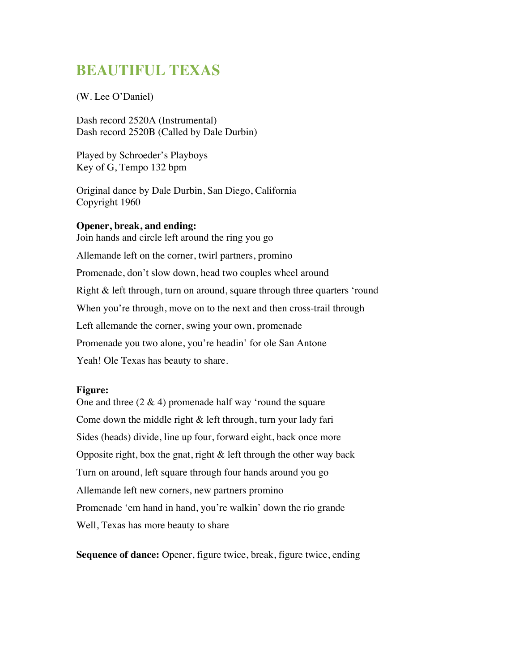# **BEAUTIFUL TEXAS**

(W. Lee O'Daniel)

Dash record 2520A (Instrumental) Dash record 2520B (Called by Dale Durbin)

Played by Schroeder's Playboys Key of G, Tempo 132 bpm

Original dance by Dale Durbin, San Diego, California Copyright 1960

#### **Opener, break, and ending:**

Join hands and circle left around the ring you go Allemande left on the corner, twirl partners, promino Promenade, don't slow down, head two couples wheel around Right & left through, turn on around, square through three quarters 'round When you're through, move on to the next and then cross-trail through Left allemande the corner, swing your own, promenade Promenade you two alone, you're headin' for ole San Antone Yeah! Ole Texas has beauty to share.

#### **Figure:**

One and three  $(2 \& 4)$  promenade half way 'round the square Come down the middle right & left through, turn your lady fari Sides (heads) divide, line up four, forward eight, back once more Opposite right, box the gnat, right  $\&$  left through the other way back Turn on around, left square through four hands around you go Allemande left new corners, new partners promino Promenade 'em hand in hand, you're walkin' down the rio grande Well, Texas has more beauty to share

**Sequence of dance:** Opener, figure twice, break, figure twice, ending